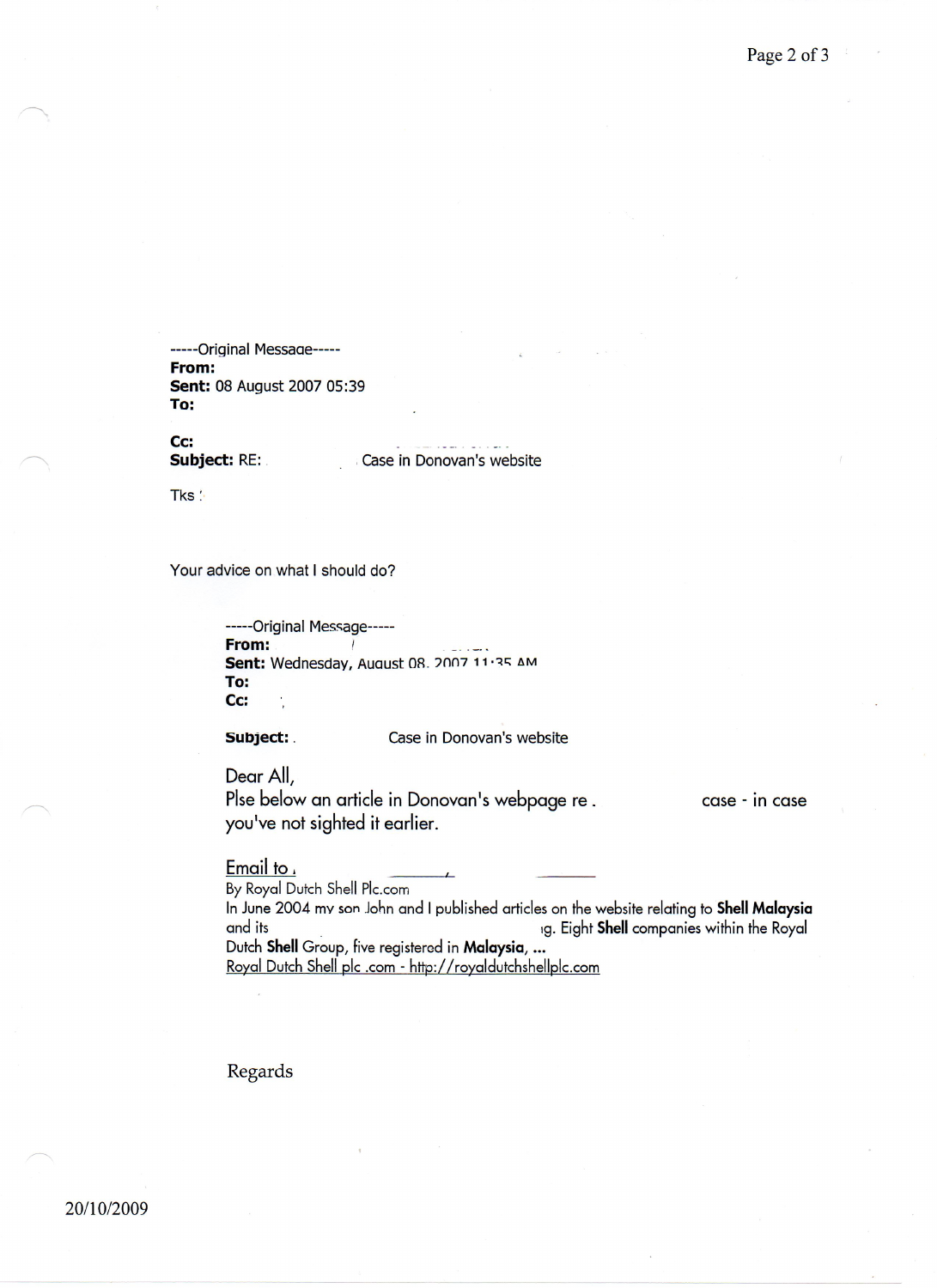-----Original Messaae----- From: sent: 08 August 2007 05:39 To:

Cc: Subject: RE:

. Case in Donovan's website

Tks  $\therefore$ 

Your advice on what I should do?

-----Original Message----- From: Sent: Wednesday, August 08. 2007 11:35 AM To: Cc:

Subject: . Case in Donovan's website

Dear All, Plse below an article in Donovan's webpage re. you've not sighted it earlier.

case - In case

Email to,

By Royal Dutch Shell Plc.com In June 2004 my son John and I published articles on the website relating to Shell Malaysia and its . The companies within the Royal and its . 19. Eight Shell companies within the Royal Dutch Shell Group, five registered in Malaysia, ... Royal Dutch Shell pic .com - <http://royaldutchshellplc.com>

Regards